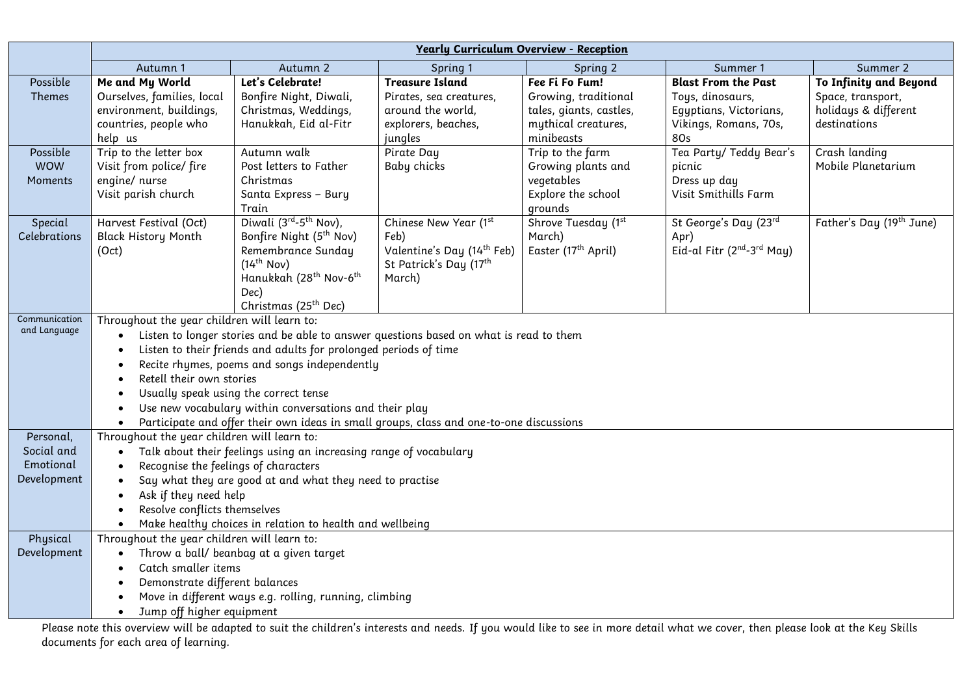|                                                                                                                                                                                  | <b>Yearly Curriculum Overview - Reception</b>                                                                                                                           |                                                |                                        |                                        |                                                    |                                     |  |  |
|----------------------------------------------------------------------------------------------------------------------------------------------------------------------------------|-------------------------------------------------------------------------------------------------------------------------------------------------------------------------|------------------------------------------------|----------------------------------------|----------------------------------------|----------------------------------------------------|-------------------------------------|--|--|
|                                                                                                                                                                                  | Autumn 1                                                                                                                                                                | Autumn 2                                       | Spring 1                               | Spring 2                               | Summer 1                                           | Summer 2                            |  |  |
| Possible                                                                                                                                                                         | Me and My World                                                                                                                                                         | Let's Celebrate!                               | <b>Treasure Island</b>                 | Fee Fi Fo Fum!                         | <b>Blast From the Past</b>                         | To Infinity and Beyond              |  |  |
| Themes                                                                                                                                                                           | Ourselves, families, local                                                                                                                                              | Bonfire Night, Diwali,                         | Pirates, sea creatures,                | Growing, traditional                   | Toys, dinosaurs,                                   | Space, transport,                   |  |  |
|                                                                                                                                                                                  | environment, buildings,                                                                                                                                                 | Christmas, Weddings,                           | around the world,                      | tales, giants, castles,                | Egyptians, Victorians,                             | holidays & different                |  |  |
|                                                                                                                                                                                  | countries, people who                                                                                                                                                   | Hanukkah, Eid al-Fitr                          | explorers, beaches,                    | mythical creatures,                    | Vikings, Romans, 70s,                              | destinations                        |  |  |
|                                                                                                                                                                                  | help us                                                                                                                                                                 | Autumn walk                                    | jungles                                | minibeasts                             | 80s                                                |                                     |  |  |
| Possible<br><b>WOW</b>                                                                                                                                                           | Trip to the letter box<br>Visit from police/ fire                                                                                                                       | Post letters to Father                         | Pirate Day<br>Baby chicks              | Trip to the farm<br>Growing plants and | Tea Party/ Teddy Bear's<br>picnic                  | Crash landing<br>Mobile Planetarium |  |  |
| Moments                                                                                                                                                                          | engine/ nurse                                                                                                                                                           | Christmas                                      |                                        | vegetables                             | Dress up day                                       |                                     |  |  |
|                                                                                                                                                                                  | Visit parish church                                                                                                                                                     | Santa Express - Bury                           |                                        | Explore the school                     | Visit Smithills Farm                               |                                     |  |  |
|                                                                                                                                                                                  |                                                                                                                                                                         | Train                                          |                                        | grounds                                |                                                    |                                     |  |  |
| Special                                                                                                                                                                          | Harvest Festival (Oct)                                                                                                                                                  | Diwali $(3^{rd}-5^{th}$ Nov),                  | Chinese New Year (1st                  | Shrove Tuesday (1st                    | St George's Day (23rd                              | Father's Day (19th June)            |  |  |
| Celebrations                                                                                                                                                                     | <b>Black History Month</b>                                                                                                                                              | Bonfire Night (5 <sup>th</sup> Nov)            | Feb)                                   | March)                                 | Apr)                                               |                                     |  |  |
|                                                                                                                                                                                  | (Oct)                                                                                                                                                                   | Remembrance Sunday                             | Valentine's Day (14 <sup>th</sup> Feb) | Easter (17 <sup>th</sup> April)        | Eid-al Fitr (2 <sup>nd</sup> -3 <sup>rd</sup> May) |                                     |  |  |
|                                                                                                                                                                                  |                                                                                                                                                                         | $(14^{th}$ Nov)                                | St Patrick's Day (17 <sup>th</sup>     |                                        |                                                    |                                     |  |  |
|                                                                                                                                                                                  |                                                                                                                                                                         | Hanukkah (28 <sup>th</sup> Nov-6 <sup>th</sup> | March)                                 |                                        |                                                    |                                     |  |  |
|                                                                                                                                                                                  |                                                                                                                                                                         | Dec)<br>Christmas (25 <sup>th</sup> Dec)       |                                        |                                        |                                                    |                                     |  |  |
| Communication                                                                                                                                                                    | Throughout the year children will learn to:                                                                                                                             |                                                |                                        |                                        |                                                    |                                     |  |  |
| and Language                                                                                                                                                                     | $\bullet$                                                                                                                                                               |                                                |                                        |                                        |                                                    |                                     |  |  |
|                                                                                                                                                                                  | Listen to longer stories and be able to answer questions based on what is read to them<br>Listen to their friends and adults for prolonged periods of time<br>$\bullet$ |                                                |                                        |                                        |                                                    |                                     |  |  |
|                                                                                                                                                                                  | Recite rhymes, poems and songs independently<br>٠                                                                                                                       |                                                |                                        |                                        |                                                    |                                     |  |  |
|                                                                                                                                                                                  | Retell their own stories                                                                                                                                                |                                                |                                        |                                        |                                                    |                                     |  |  |
|                                                                                                                                                                                  | Usually speak using the correct tense                                                                                                                                   |                                                |                                        |                                        |                                                    |                                     |  |  |
|                                                                                                                                                                                  | Use new vocabulary within conversations and their play<br>$\bullet$                                                                                                     |                                                |                                        |                                        |                                                    |                                     |  |  |
|                                                                                                                                                                                  | Participate and offer their own ideas in small groups, class and one-to-one discussions<br>$\bullet$                                                                    |                                                |                                        |                                        |                                                    |                                     |  |  |
| Personal,                                                                                                                                                                        |                                                                                                                                                                         | Throughout the year children will learn to:    |                                        |                                        |                                                    |                                     |  |  |
| Social and                                                                                                                                                                       | Talk about their feelings using an increasing range of vocabulary<br>$\bullet$                                                                                          |                                                |                                        |                                        |                                                    |                                     |  |  |
| Emotional                                                                                                                                                                        | Recognise the feelings of characters<br>$\bullet$                                                                                                                       |                                                |                                        |                                        |                                                    |                                     |  |  |
| Development                                                                                                                                                                      | Say what they are good at and what they need to practise<br>$\bullet$                                                                                                   |                                                |                                        |                                        |                                                    |                                     |  |  |
|                                                                                                                                                                                  | Ask if they need help<br>$\bullet$                                                                                                                                      |                                                |                                        |                                        |                                                    |                                     |  |  |
|                                                                                                                                                                                  | Resolve conflicts themselves<br>$\bullet$                                                                                                                               |                                                |                                        |                                        |                                                    |                                     |  |  |
| Physical                                                                                                                                                                         | Make healthy choices in relation to health and wellbeing<br>$\bullet$<br>Throughout the year children will learn to:                                                    |                                                |                                        |                                        |                                                    |                                     |  |  |
| Development                                                                                                                                                                      | $\bullet$                                                                                                                                                               | Throw a ball/ beanbag at a given target        |                                        |                                        |                                                    |                                     |  |  |
|                                                                                                                                                                                  | Catch smaller items                                                                                                                                                     |                                                |                                        |                                        |                                                    |                                     |  |  |
|                                                                                                                                                                                  | Demonstrate different balances                                                                                                                                          |                                                |                                        |                                        |                                                    |                                     |  |  |
|                                                                                                                                                                                  | Move in different ways e.g. rolling, running, climbing                                                                                                                  |                                                |                                        |                                        |                                                    |                                     |  |  |
|                                                                                                                                                                                  | Jump off higher equipment<br>$\bullet$                                                                                                                                  |                                                |                                        |                                        |                                                    |                                     |  |  |
| please note this overvious will be adapted to suit the children's interests and needs. If you would libe to see in more detail what we cover, then please look at the Key Shills |                                                                                                                                                                         |                                                |                                        |                                        |                                                    |                                     |  |  |

Please note this overview will be adapted to suit the children's interests and needs. If you would like to see in more detail what we cover, then please look at the Key Skills documents for each area of learning.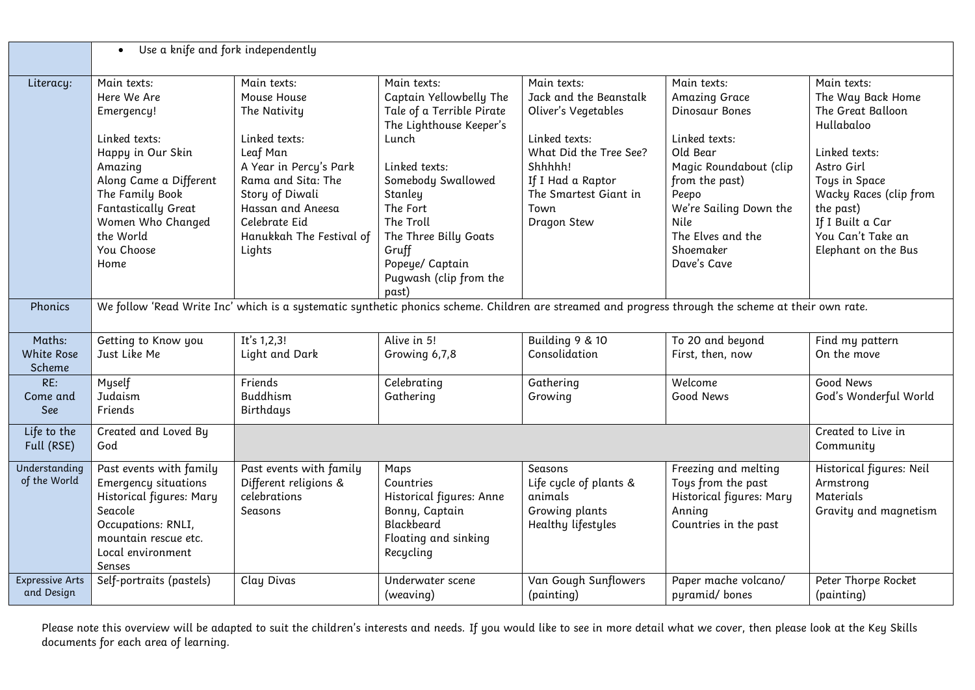|                                       | Use a knife and fork independently<br>$\bullet$                                                                                                                                                                              |                                                                                                                                                                                                                        |                                                                                                                                                                                                                                                                            |                                                                                                                                                                                         |                                                                                                                                                                                                                            |                                                                                                                                                                                                                            |  |  |
|---------------------------------------|------------------------------------------------------------------------------------------------------------------------------------------------------------------------------------------------------------------------------|------------------------------------------------------------------------------------------------------------------------------------------------------------------------------------------------------------------------|----------------------------------------------------------------------------------------------------------------------------------------------------------------------------------------------------------------------------------------------------------------------------|-----------------------------------------------------------------------------------------------------------------------------------------------------------------------------------------|----------------------------------------------------------------------------------------------------------------------------------------------------------------------------------------------------------------------------|----------------------------------------------------------------------------------------------------------------------------------------------------------------------------------------------------------------------------|--|--|
| Literacy:                             | Main texts:<br>Here We Are<br>Emergency!<br>Linked texts:<br>Happy in Our Skin<br>Amazing<br>Along Came a Different<br>The Family Book<br><b>Fantastically Great</b><br>Women Who Changed<br>the World<br>You Choose<br>Home | Main texts:<br>Mouse House<br>The Nativity<br>Linked texts:<br>Leaf Man<br>A Year in Percy's Park<br>Rama and Sita: The<br>Story of Diwali<br>Hassan and Aneesa<br>Celebrate Eid<br>Hanukkah The Festival of<br>Lights | Main texts:<br>Captain Yellowbelly The<br>Tale of a Terrible Pirate<br>The Lighthouse Keeper's<br>Lunch<br>Linked texts:<br>Somebody Swallowed<br>Stanley<br>The Fort<br>The Troll<br>The Three Billy Goats<br>Gruff<br>Popeye/ Captain<br>Pugwash (clip from the<br>past) | Main texts:<br>Jack and the Beanstalk<br>Oliver's Vegetables<br>Linked texts:<br>What Did the Tree See?<br>Shhhhh!<br>If I Had a Raptor<br>The Smartest Giant in<br>Town<br>Dragon Stew | Main texts:<br><b>Amazing Grace</b><br>Dinosaur Bones<br>Linked texts:<br>Old Bear<br>Magic Roundabout (clip<br>from the past)<br>Peepo<br>We're Sailing Down the<br>Nile<br>The Elves and the<br>Shoemaker<br>Dave's Cave | Main texts:<br>The Way Back Home<br>The Great Balloon<br>Hullabaloo<br>Linked texts:<br>Astro Girl<br>Toys in Space<br>Wacky Races (clip from<br>the past)<br>If I Built a Car<br>You Can't Take an<br>Elephant on the Bus |  |  |
| Phonics                               | We follow 'Read Write Inc' which is a systematic synthetic phonics scheme. Children are streamed and progress through the scheme at their own rate.                                                                          |                                                                                                                                                                                                                        |                                                                                                                                                                                                                                                                            |                                                                                                                                                                                         |                                                                                                                                                                                                                            |                                                                                                                                                                                                                            |  |  |
| Maths:<br><b>White Rose</b><br>Scheme | Getting to Know you<br>Just Like Me                                                                                                                                                                                          | It's $1,2,3!$<br>Light and Dark                                                                                                                                                                                        | Alive in 5!<br>Growing 6,7,8                                                                                                                                                                                                                                               | Building 9 & 10<br>Consolidation                                                                                                                                                        | To 20 and beyond<br>First, then, now                                                                                                                                                                                       | Find my pattern<br>On the move                                                                                                                                                                                             |  |  |
| RE:<br>Come and<br>See                | Myself<br>Judaism<br>Friends                                                                                                                                                                                                 | Friends<br>Buddhism<br>Birthdays                                                                                                                                                                                       | Celebrating<br>Gathering                                                                                                                                                                                                                                                   | Gathering<br>Growing                                                                                                                                                                    | Welcome<br>Good News                                                                                                                                                                                                       | Good News<br>God's Wonderful World                                                                                                                                                                                         |  |  |
| Life to the<br>Full (RSE)             | Created and Loved By<br>God                                                                                                                                                                                                  |                                                                                                                                                                                                                        |                                                                                                                                                                                                                                                                            |                                                                                                                                                                                         |                                                                                                                                                                                                                            |                                                                                                                                                                                                                            |  |  |
| Understanding<br>of the World         | Past events with family<br><b>Emergency situations</b><br>Historical figures: Mary<br>Seacole<br>Occupations: RNLI,<br>mountain rescue etc.<br>Local environment<br>Senses                                                   | Past events with family<br>Different religions &<br>celebrations<br>Seasons                                                                                                                                            | Maps<br>Countries<br>Historical figures: Anne<br>Bonny, Captain<br>Blackbeard<br>Floating and sinking<br>Recycling                                                                                                                                                         | Seasons<br>Life cycle of plants &<br>animals<br>Growing plants<br>Healthy lifestyles                                                                                                    | Freezing and melting<br>Toys from the past<br>Historical figures: Mary<br>Anning<br>Countries in the past                                                                                                                  | Historical figures: Neil<br>Armstrong<br>Materials<br>Gravity and magnetism                                                                                                                                                |  |  |
| <b>Expressive Arts</b><br>and Design  | Self-portraits (pastels)                                                                                                                                                                                                     | Clay Divas                                                                                                                                                                                                             | Underwater scene<br>(weaving)                                                                                                                                                                                                                                              | Van Gough Sunflowers<br>(painting)                                                                                                                                                      | Paper mache volcano/<br>pyramid/bones                                                                                                                                                                                      | Peter Thorpe Rocket<br>(painting)                                                                                                                                                                                          |  |  |

Please note this overview will be adapted to suit the children's interests and needs. If you would like to see in more detail what we cover, then please look at the Key Skills documents for each area of learning.